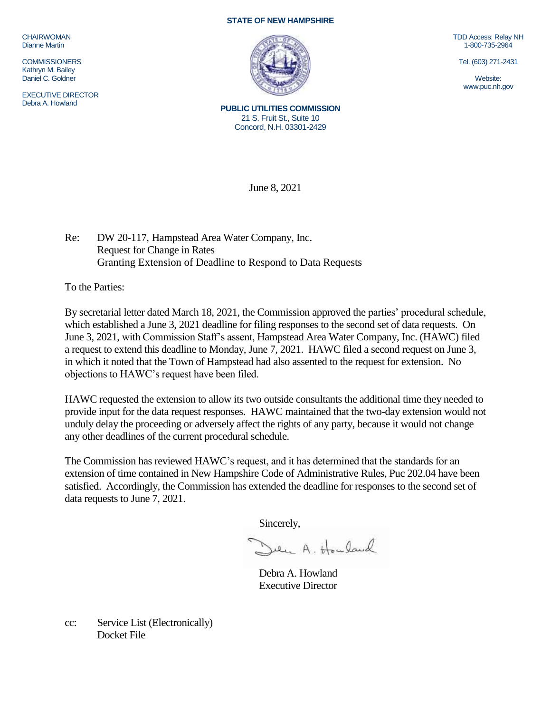CHAIRWOMAN Dianne Martin

**COMMISSIONERS** Kathryn M. Bailey Daniel C. Goldner

EXECUTIVE DIRECTOR Debra A. Howland

## **STATE OF NEW HAMPSHIRE**



TDD Access: Relay NH 1-800-735-2964

Tel. (603) 271-2431

Website: www.puc.nh.gov

**PUBLIC UTILITIES COMMISSION** 21 S. Fruit St., Suite 10 Concord, N.H. 03301-2429

June 8, 2021

Re: DW 20-117, Hampstead Area Water Company, Inc. Request for Change in Rates Granting Extension of Deadline to Respond to Data Requests

To the Parties:

By secretarial letter dated March 18, 2021, the Commission approved the parties' procedural schedule, which established a June 3, 2021 deadline for filing responses to the second set of data requests. On June 3, 2021, with Commission Staff's assent, Hampstead Area Water Company, Inc. (HAWC) filed a request to extend this deadline to Monday, June 7, 2021. HAWC filed a second request on June 3, in which it noted that the Town of Hampstead had also assented to the request for extension. No objections to HAWC's request have been filed.

HAWC requested the extension to allow its two outside consultants the additional time they needed to provide input for the data request responses. HAWC maintained that the two-day extension would not unduly delay the proceeding or adversely affect the rights of any party, because it would not change any other deadlines of the current procedural schedule.

The Commission has reviewed HAWC's request, and it has determined that the standards for an extension of time contained in New Hampshire Code of Administrative Rules, Puc 202.04 have been satisfied. Accordingly, the Commission has extended the deadline for responses to the second set of data requests to June 7, 2021.

Sincerely,

Deen A. Howland

Debra A. Howland Executive Director

cc: Service List (Electronically) Docket File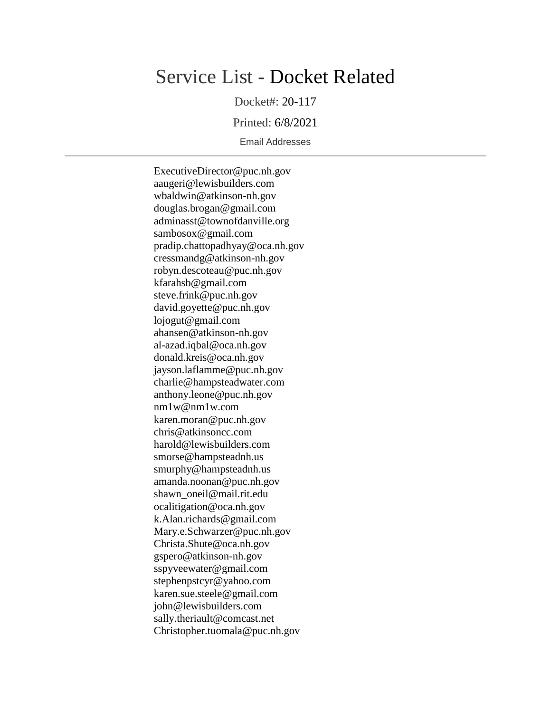## Service List - Docket Related

Docket#: 20-117

Printed: 6/8/2021

Email Addresses

ExecutiveDirector@puc.nh.gov aaugeri@lewisbuilders.com wbaldwin@atkinson-nh.gov douglas.brogan@gmail.com adminasst@townofdanville.org sambosox@gmail.com pradip.chattopadhyay@oca.nh.gov cressmandg@atkinson-nh.gov robyn.descoteau@puc.nh.gov kfarahsb@gmail.com steve.frink@puc.nh.gov david.goyette@puc.nh.gov lojogut@gmail.com ahansen@atkinson-nh.gov al-azad.iqbal@oca.nh.gov donald.kreis@oca.nh.gov jayson.laflamme@puc.nh.gov charlie@hampsteadwater.com anthony.leone@puc.nh.gov nm1w@nm1w.com karen.moran@puc.nh.gov chris@atkinsoncc.com harold@lewisbuilders.com smorse@hampsteadnh.us smurphy@hampsteadnh.us amanda.noonan@puc.nh.gov shawn\_oneil@mail.rit.edu ocalitigation@oca.nh.gov k.Alan.richards@gmail.com Mary.e.Schwarzer@puc.nh.gov Christa.Shute@oca.nh.gov gspero@atkinson-nh.gov sspyveewater@gmail.com stephenpstcyr@yahoo.com karen.sue.steele@gmail.com john@lewisbuilders.com sally.theriault@comcast.net Christopher.tuomala@puc.nh.gov